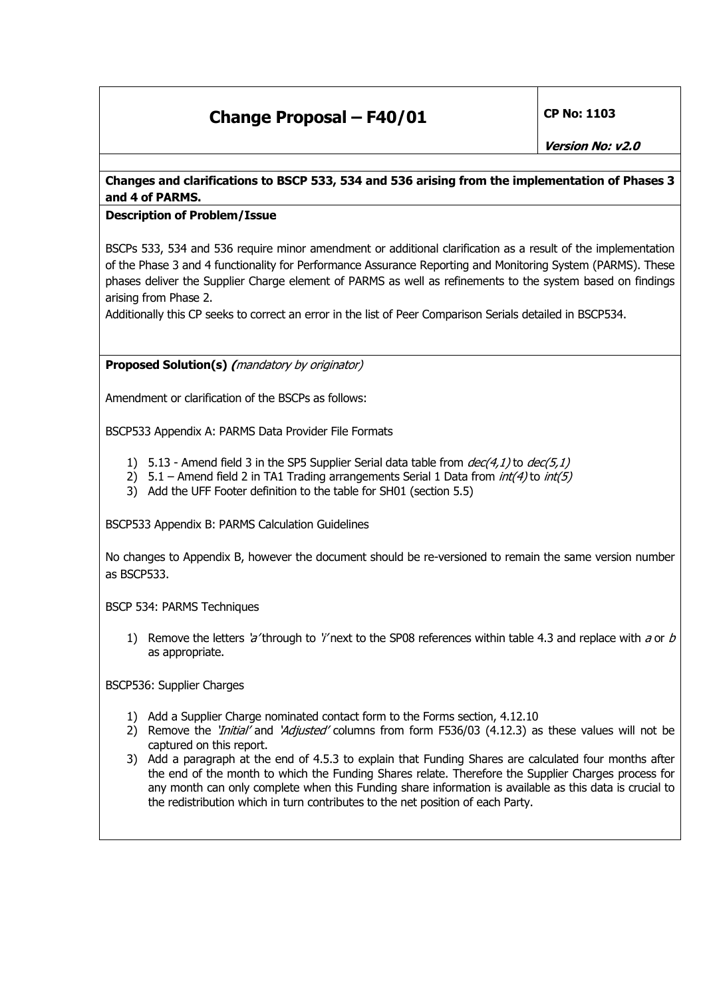## **Change Proposal – F40/01** CP No: 1103

## **Changes and clarifications to BSCP 533, 534 and 536 arising from the implementation of Phases 3 and 4 of PARMS.**

## **Description of Problem/Issue**

BSCPs 533, 534 and 536 require minor amendment or additional clarification as a result of the implementation of the Phase 3 and 4 functionality for Performance Assurance Reporting and Monitoring System (PARMS). These phases deliver the Supplier Charge element of PARMS as well as refinements to the system based on findings arising from Phase 2.

Additionally this CP seeks to correct an error in the list of Peer Comparison Serials detailed in BSCP534.

**Proposed Solution(s) (**mandatory by originator)

Amendment or clarification of the BSCPs as follows:

BSCP533 Appendix A: PARMS Data Provider File Formats

- 1) 5.13 Amend field 3 in the SP5 Supplier Serial data table from  $dec(4,1)$  to  $dec(5,1)$
- 2)  $5.1 -$  Amend field 2 in TA1 Trading arrangements Serial 1 Data from  $int(4)$  to  $int(5)$
- 3) Add the UFF Footer definition to the table for SH01 (section 5.5)

BSCP533 Appendix B: PARMS Calculation Guidelines

No changes to Appendix B, however the document should be re-versioned to remain the same version number as BSCP533.

BSCP 534: PARMS Techniques

1) Remove the letters 'a' through to 'i' next to the SP08 references within table 4.3 and replace with a or b as appropriate.

BSCP536: Supplier Charges

- 1) Add a Supplier Charge nominated contact form to the Forms section, 4.12.10
- 2) Remove the '*Initial'* and 'Adjusted' columns from form F536/03 (4.12.3) as these values will not be captured on this report.
- 3) Add a paragraph at the end of 4.5.3 to explain that Funding Shares are calculated four months after the end of the month to which the Funding Shares relate. Therefore the Supplier Charges process for any month can only complete when this Funding share information is available as this data is crucial to the redistribution which in turn contributes to the net position of each Party.